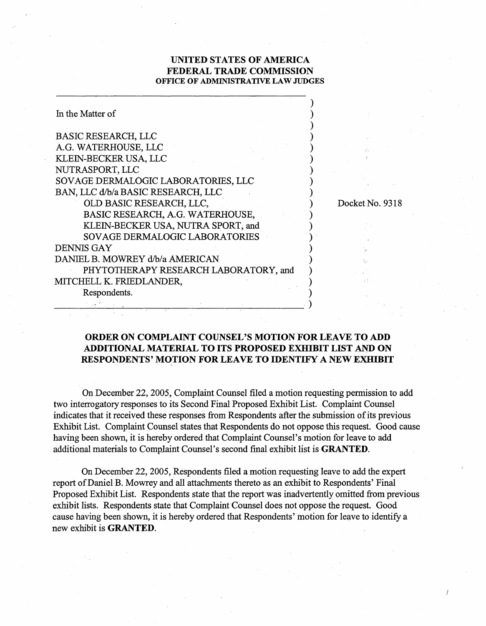## **UNITED STATES OF AMERICA FEDERAL TRADE COMMISSION OFFICE OF ADMINISTRATIVE LAW JUDGES**

| In the Matter of                      |  |                 |
|---------------------------------------|--|-----------------|
| <b>BASIC RESEARCH, LLC</b>            |  |                 |
| A.G. WATERHOUSE, LLC                  |  |                 |
| KLEIN-BECKER USA, LLC                 |  |                 |
| NUTRASPORT, LLC                       |  |                 |
| SOVAGE DERMALOGIC LABORATORIES, LLC   |  |                 |
| BAN, LLC d/b/a BASIC RESEARCH, LLC    |  |                 |
| OLD BASIC RESEARCH, LLC,              |  | Docket No. 9318 |
| BASIC RESEARCH, A.G. WATERHOUSE,      |  |                 |
| KLEIN-BECKER USA, NUTRA SPORT, and    |  |                 |
| SOVAGE DERMALOGIC LABORATORIES        |  |                 |
| <b>DENNIS GAY</b>                     |  |                 |
| DANIEL B. MOWREY d/b/a AMERICAN       |  |                 |
| PHYTOTHERAPY RESEARCH LABORATORY, and |  |                 |
| MITCHELL K. FRIEDLANDER,              |  |                 |
| Respondents.                          |  |                 |
|                                       |  |                 |

## **ORDER ON COMPLAINT COUNSEL'S MOTION FOR LEAVE TO ADD ADDITIONAL MATERIAL TO ITS PROPOSED EXHIBIT LIST AND ON RESPONDENTS' MOTION FOR LEAVE TO IDENTIFY A NEW EXHIBIT**

On December 22,2005, Complaint Counsel filed a motion requesting permission to add two interrogatory responses to its Second Final Proposed Exhibit List. Complaint Counsel indicates that it received these responses fiom Respondents after the submission of its previous Exhibit List. Complaint Counsel states that Respondents do not oppose this request. Good cause having been shown, it is hereby ordered that Complaint Counsel's motion for leave to add additional materials to Complaint Counsel's second final exhibit list is **GRANTED.** 

On December 22,2005, Respondents filed a motion requesting leave to add the expert report of Daniel B. Mowrey and all attachments thereto as an exhibit to Respondents' Final Proposed Exhibit List. Respondents state that the report was inadvertently omitted fiom previous exhibit lists. Respondents state that Complaint Counsel does not oppose the request. Good cause having been shown, it is hereby ordered that Respondents' motion for leave to identify a new exhibit is **GRANTED.**